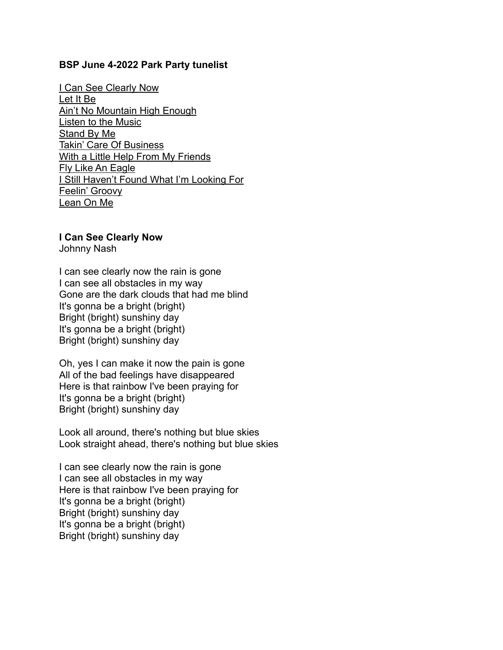### **BSP June 4-2022 Park Party tunelist**

[I Can See Clearly Now](#page-0-0) [Let It Be](#page-1-0) [Ain't No Mountain High Enough](#page-2-0) [Listen to the Music](#page-3-0) [Stand By Me](#page-4-0) [Takin' Care Of Business](#page-5-0) [With a Little Help From My Friends](#page-6-0) [Fly Like An Eagle](#page-7-0) **[I Still Haven't Found What I'm Looking For](#page-8-0)** [Feelin' Groovy](#page-9-0) [Lean On Me](#page-10-0)

## <span id="page-0-0"></span>**I Can See Clearly Now**

Johnny Nash

I can see clearly now the rain is gone I can see all obstacles in my way Gone are the dark clouds that had me blind It's gonna be a bright (bright) Bright (bright) sunshiny day It's gonna be a bright (bright) Bright (bright) sunshiny day

Oh, yes I can make it now the pain is gone All of the bad feelings have disappeared Here is that rainbow I've been praying for It's gonna be a bright (bright) Bright (bright) sunshiny day

Look all around, there's nothing but blue skies Look straight ahead, there's nothing but blue skies

I can see clearly now the rain is gone I can see all obstacles in my way Here is that rainbow I've been praying for It's gonna be a bright (bright) Bright (bright) sunshiny day It's gonna be a bright (bright) Bright (bright) sunshiny day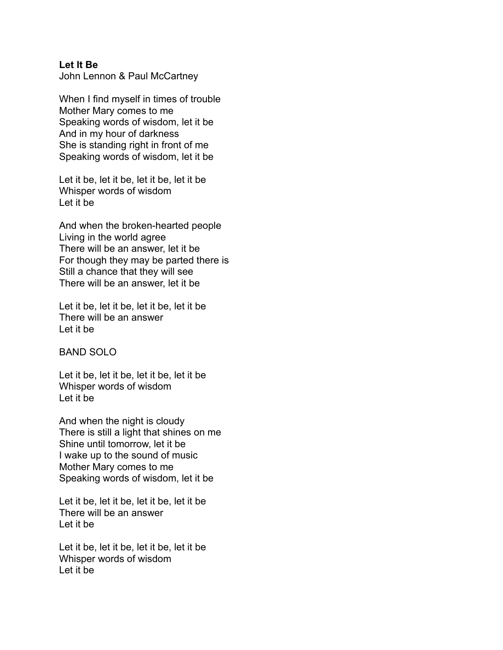#### <span id="page-1-0"></span>**Let It Be**

John Lennon & Paul McCartney

When I find myself in times of trouble Mother Mary comes to me Speaking words of wisdom, let it be And in my hour of darkness She is standing right in front of me Speaking words of wisdom, let it be

Let it be, let it be, let it be, let it be Whisper words of wisdom Let it be

And when the broken-hearted people Living in the world agree There will be an answer, let it be For though they may be parted there is Still a chance that they will see There will be an answer, let it be

Let it be, let it be, let it be, let it be There will be an answer Let it be

#### BAND SOLO

Let it be, let it be, let it be, let it be Whisper words of wisdom Let it be

And when the night is cloudy There is still a light that shines on me Shine until tomorrow, let it be I wake up to the sound of music Mother Mary comes to me Speaking words of wisdom, let it be

Let it be, let it be, let it be, let it be There will be an answer Let it be

Let it be, let it be, let it be, let it be Whisper words of wisdom Let it be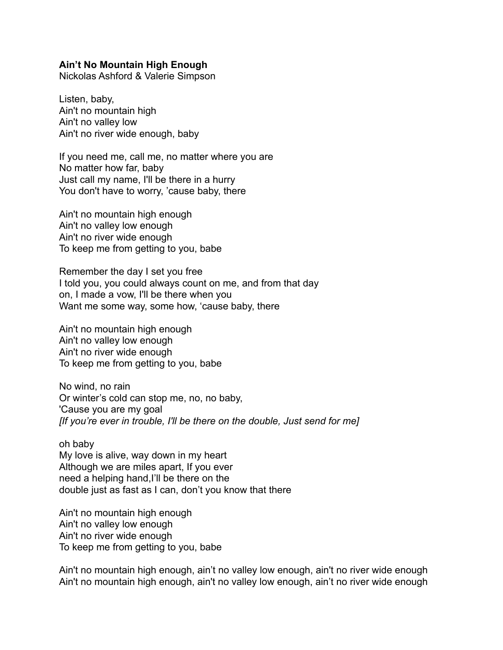#### <span id="page-2-0"></span>**Ain't No Mountain High Enough**

Nickolas Ashford & Valerie Simpson

Listen, baby, Ain't no mountain high Ain't no valley low Ain't no river wide enough, baby

If you need me, call me, no matter where you are No matter how far, baby Just call my name, I'll be there in a hurry You don't have to worry, 'cause baby, there

Ain't no mountain high enough Ain't no valley low enough Ain't no river wide enough To keep me from getting to you, babe

Remember the day I set you free I told you, you could always count on me, and from that day on, I made a vow, I'll be there when you Want me some way, some how, 'cause baby, there

Ain't no mountain high enough Ain't no valley low enough Ain't no river wide enough To keep me from getting to you, babe

No wind, no rain Or winter's cold can stop me, no, no baby, 'Cause you are my goal *[If you're ever in trouble, I'll be there on the double, Just send for me]* 

oh baby My love is alive, way down in my heart Although we are miles apart, If you ever need a helping hand,I'll be there on the double just as fast as I can, don't you know that there

Ain't no mountain high enough Ain't no valley low enough Ain't no river wide enough To keep me from getting to you, babe

Ain't no mountain high enough, ain't no valley low enough, ain't no river wide enough Ain't no mountain high enough, ain't no valley low enough, ain't no river wide enough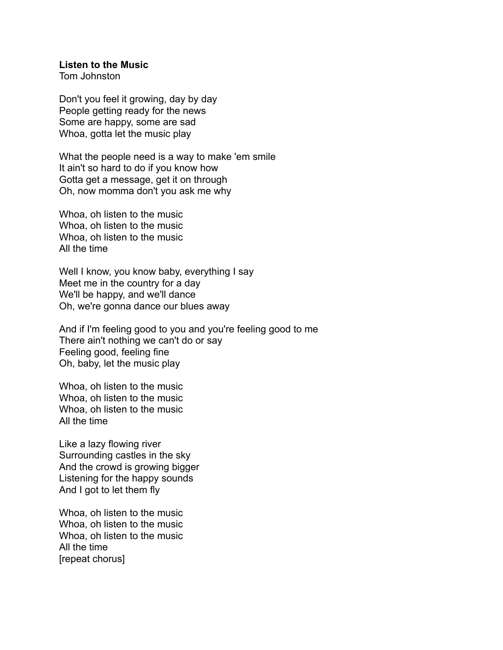#### <span id="page-3-0"></span>**Listen to the Music**

Tom Johnston

Don't you feel it growing, day by day People getting ready for the news Some are happy, some are sad Whoa, gotta let the music play

What the people need is a way to make 'em smile It ain't so hard to do if you know how Gotta get a message, get it on through Oh, now momma don't you ask me why

Whoa, oh listen to the music Whoa, oh listen to the music Whoa, oh listen to the music All the time

Well I know, you know baby, everything I say Meet me in the country for a day We'll be happy, and we'll dance Oh, we're gonna dance our blues away

And if I'm feeling good to you and you're feeling good to me There ain't nothing we can't do or say Feeling good, feeling fine Oh, baby, let the music play

Whoa, oh listen to the music Whoa, oh listen to the music Whoa, oh listen to the music All the time

Like a lazy flowing river Surrounding castles in the sky And the crowd is growing bigger Listening for the happy sounds And I got to let them fly

Whoa, oh listen to the music Whoa, oh listen to the music Whoa, oh listen to the music All the time [repeat chorus]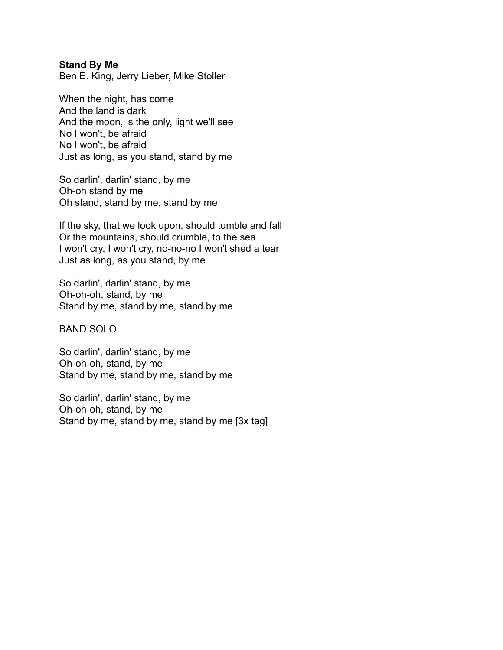#### <span id="page-4-0"></span>**Stand By Me**

Ben E. King, Jerry Lieber, Mike Stoller

When the night, has come And the land is dark And the moon, is the only, light we'll see No I won't, be afraid No I won't, be afraid Just as long, as you stand, stand by me

So darlin', darlin' stand, by me Oh-oh stand by me Oh stand, stand by me, stand by me

If the sky, that we look upon, should tumble and fall Or the mountains, should crumble, to the sea I won't cry, I won't cry, no-no-no I won't shed a tear Just as long, as you stand, by me

So darlin', darlin' stand, by me Oh-oh-oh, stand, by me Stand by me, stand by me, stand by me

BAND SOLO

So darlin', darlin' stand, by me Oh-oh-oh, stand, by me Stand by me, stand by me, stand by me

So darlin', darlin' stand, by me Oh-oh-oh, stand, by me Stand by me, stand by me, stand by me [3x tag]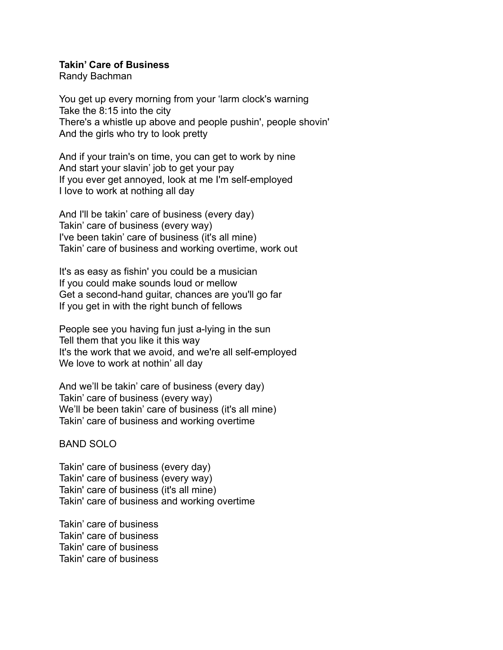### <span id="page-5-0"></span>**Takin' Care of Business**

Randy Bachman

You get up every morning from your 'larm clock's warning Take the 8:15 into the city There's a whistle up above and people pushin', people shovin' And the girls who try to look pretty

And if your train's on time, you can get to work by nine And start your slavin' job to get your pay If you ever get annoyed, look at me I'm self-employed I love to work at nothing all day

And I'll be takin' care of business (every day) Takin' care of business (every way) I've been takin' care of business (it's all mine) Takin' care of business and working overtime, work out

It's as easy as fishin' you could be a musician If you could make sounds loud or mellow Get a second-hand guitar, chances are you'll go far If you get in with the right bunch of fellows

People see you having fun just a-lying in the sun Tell them that you like it this way It's the work that we avoid, and we're all self-employed We love to work at nothin' all day

And we'll be takin' care of business (every day) Takin' care of business (every way) We'll be been takin' care of business (it's all mine) Takin' care of business and working overtime

BAND SOLO

Takin' care of business (every day) Takin' care of business (every way) Takin' care of business (it's all mine) Takin' care of business and working overtime

Takin' care of business Takin' care of business Takin' care of business Takin' care of business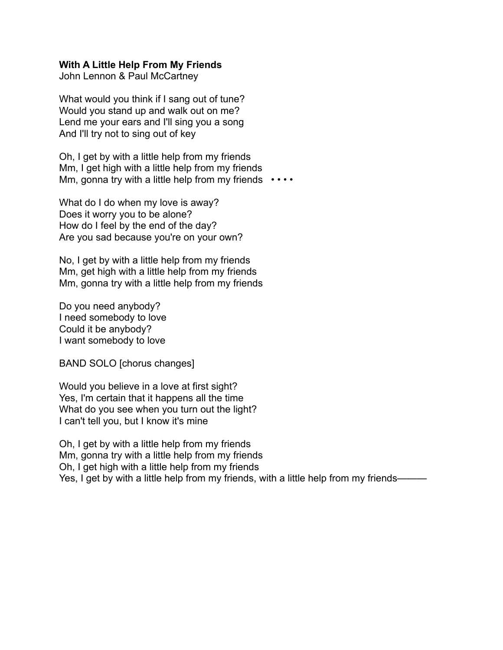### <span id="page-6-0"></span>**With A Little Help From My Friends**

John Lennon & Paul McCartney

What would you think if I sang out of tune? Would you stand up and walk out on me? Lend me your ears and I'll sing you a song And I'll try not to sing out of key

Oh, I get by with a little help from my friends Mm, I get high with a little help from my friends Mm, gonna try with a little help from my friends  $\cdots$ 

What do I do when my love is away? Does it worry you to be alone? How do I feel by the end of the day? Are you sad because you're on your own?

No, I get by with a little help from my friends Mm, get high with a little help from my friends Mm, gonna try with a little help from my friends

Do you need anybody? I need somebody to love Could it be anybody? I want somebody to love

BAND SOLO [chorus changes]

Would you believe in a love at first sight? Yes, I'm certain that it happens all the time What do you see when you turn out the light? I can't tell you, but I know it's mine

Oh, I get by with a little help from my friends Mm, gonna try with a little help from my friends Oh, I get high with a little help from my friends Yes, I get by with a little help from my friends, with a little help from my friends-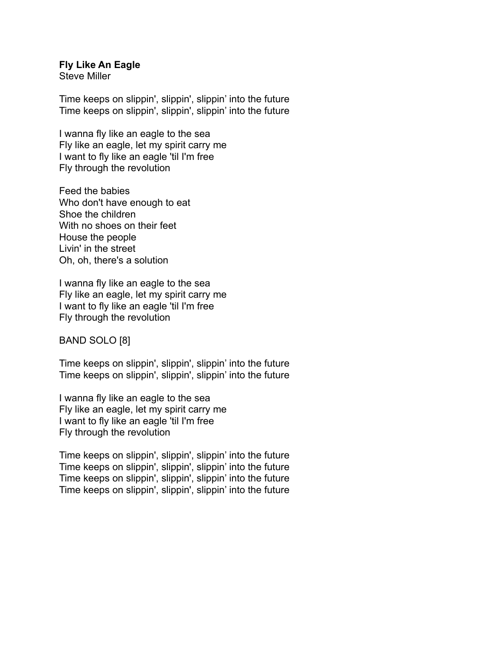# <span id="page-7-0"></span>**Fly Like An Eagle**

Steve Miller

Time keeps on slippin', slippin', slippin' into the future Time keeps on slippin', slippin', slippin' into the future

I wanna fly like an eagle to the sea Fly like an eagle, let my spirit carry me I want to fly like an eagle 'til I'm free Fly through the revolution

Feed the babies Who don't have enough to eat Shoe the children With no shoes on their feet House the people Livin' in the street Oh, oh, there's a solution

I wanna fly like an eagle to the sea Fly like an eagle, let my spirit carry me I want to fly like an eagle 'til I'm free Fly through the revolution

BAND SOLO [8]

Time keeps on slippin', slippin', slippin' into the future Time keeps on slippin', slippin', slippin' into the future

I wanna fly like an eagle to the sea Fly like an eagle, let my spirit carry me I want to fly like an eagle 'til I'm free Fly through the revolution

Time keeps on slippin', slippin', slippin' into the future Time keeps on slippin', slippin', slippin' into the future Time keeps on slippin', slippin', slippin' into the future Time keeps on slippin', slippin', slippin' into the future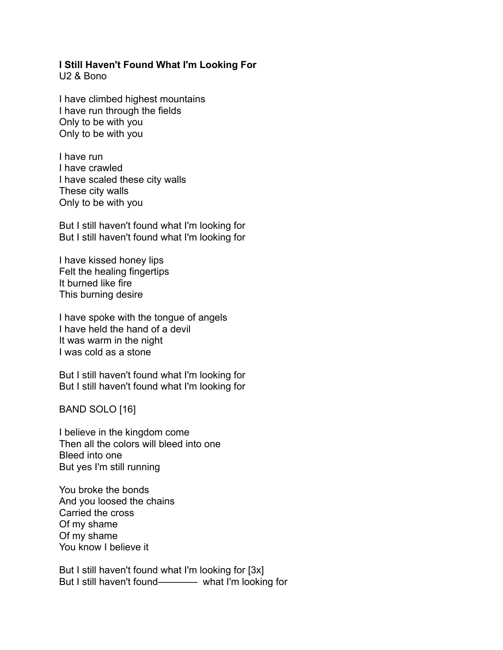#### <span id="page-8-0"></span>**I Still Haven't Found What I'm Looking For**  U2 & Bono

I have climbed highest mountains I have run through the fields Only to be with you Only to be with you

I have run I have crawled I have scaled these city walls These city walls Only to be with you

But I still haven't found what I'm looking for But I still haven't found what I'm looking for

I have kissed honey lips Felt the healing fingertips It burned like fire This burning desire

I have spoke with the tongue of angels I have held the hand of a devil It was warm in the night I was cold as a stone

But I still haven't found what I'm looking for But I still haven't found what I'm looking for

BAND SOLO [16]

I believe in the kingdom come Then all the colors will bleed into one Bleed into one But yes I'm still running

You broke the bonds And you loosed the chains Carried the cross Of my shame Of my shame You know I believe it

But I still haven't found what I'm looking for [3x] But I still haven't found———— what I'm looking for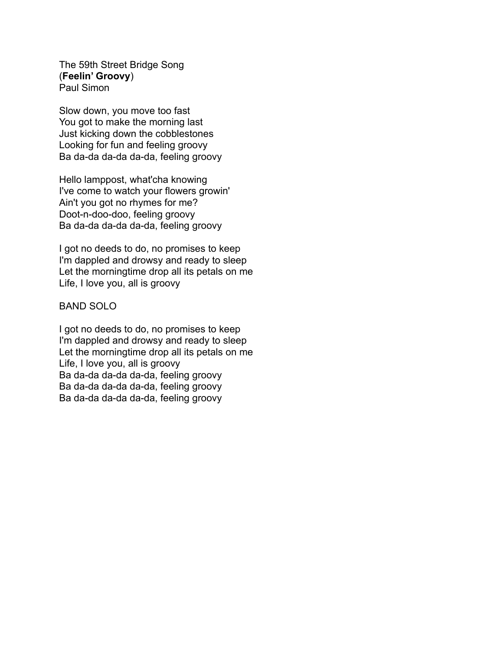<span id="page-9-0"></span>The 59th Street Bridge Song (**Feelin' Groovy**) Paul Simon

Slow down, you move too fast You got to make the morning last Just kicking down the cobblestones Looking for fun and feeling groovy Ba da-da da-da da-da, feeling groovy

Hello lamppost, what'cha knowing I've come to watch your flowers growin' Ain't you got no rhymes for me? Doot-n-doo-doo, feeling groovy Ba da-da da-da da-da, feeling groovy

I got no deeds to do, no promises to keep I'm dappled and drowsy and ready to sleep Let the morningtime drop all its petals on me Life, I love you, all is groovy

## BAND SOLO

I got no deeds to do, no promises to keep I'm dappled and drowsy and ready to sleep Let the morningtime drop all its petals on me Life, I love you, all is groovy Ba da-da da-da da-da, feeling groovy Ba da-da da-da da-da, feeling groovy Ba da-da da-da da-da, feeling groovy